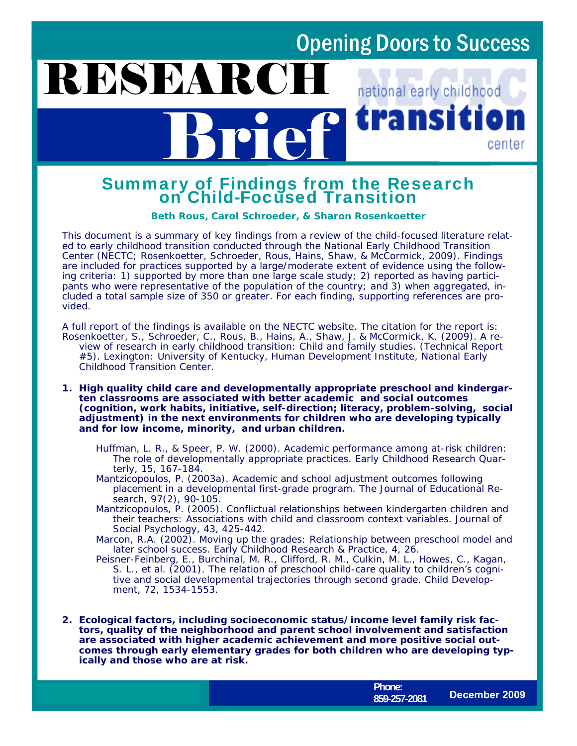### Opening Doors to Success

#### RESEARCH national early childhood transı Brief 11 center

# Summary of Findings from the Research on Child-Focused Transition

**Beth Rous, Carol Schroeder, & Sharon Rosenkoetter** 

This document is a summary of key findings from a review of the child-focused literature related to early childhood transition conducted through the National Early Childhood Transition Center (NECTC; Rosenkoetter, Schroeder, Rous, Hains, Shaw, & McCormick, 2009). Findings are included for practices supported by a large/moderate extent of evidence using the following criteria: 1) supported by more than one large scale study; 2) reported as having participants who were representative of the population of the country; and 3) when aggregated, included a total sample size of 350 or greater. For each finding, supporting references are provided.

A full report of the findings is available on the NECTC website. The citation for the report is: Rosenkoetter, S., Schroeder, C., Rous, B., Hains, A., Shaw, J. & McCormick, K. (2009). *A review of research in early childhood transition: Child and family studies.* (Technical Report #5). Lexington: University of Kentucky, Human Development Institute, National Early Childhood Transition Center.

**1. High quality child care and developmentally appropriate preschool and kindergarten classrooms are associated with better academic and social outcomes (cognition, work habits, initiative, self-direction; literacy, problem-solving, social adjustment) in the next environments for children who are developing typically and for low income, minority, and urban children.** 

- Huffman, L. R., & Speer, P. W. (2000). Academic performance among at-risk children: The role of developmentally appropriate practices. *Early Childhood Research Quarterly, 15,* 167-184.
- Mantzicopoulos, P. (2003a). Academic and school adjustment outcomes following placement in a developmental first-grade program*. The Journal of Educational Research, 97(2),* 90-105.
- Mantzicopoulos, P. (2005). Conflictual relationships between kindergarten children and their teachers: Associations with child and classroom context variables. *Journal of Social Psychology, 43,* 425-442.

Marcon, R.A. (2002). Moving up the grades: Relationship between preschool model and later school success. *Early Childhood Research & Practice*, *4,* 26.

Peisner-Feinberg, E., Burchinal, M. R., Clifford, R. M., Culkin, M. L., Howes, C., Kagan, S. L., et al. (2001). The relation of preschool child-care quality to children's cognitive and social developmental trajectories through second grade. *Child Development, 72,* 1534-1553.

**2. Ecological factors, including socioeconomic status/income level family risk factors, quality of the neighborhood and parent school involvement and satisfaction are associated with higher academic achievement and more positive social outcomes through early elementary grades for both children who are developing typically and those who are at risk.** 

www.hdi.uky.edu/nectc/nectc/ **Phone: 859-257-2081 December 2009**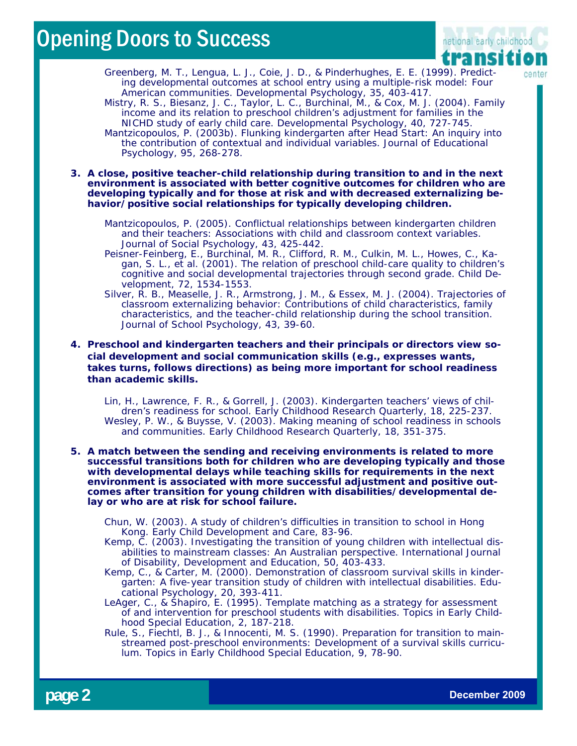### Opening Doors to Success



- Greenberg, M. T., Lengua, L. J., Coie, J. D., & Pinderhughes, E. E. (1999). Predicting developmental outcomes at school entry using a multiple-risk model: Four American communities. *Developmental Psychology, 35,* 403-417.
- Mistry, R. S., Biesanz, J. C., Taylor, L. C., Burchinal, M., & Cox, M. J. (2004). Family income and its relation to preschool children's adjustment for families in the NICHD study of early child care. *Developmental Psychology, 40,* 727-745. Mantzicopoulos, P. (2003b). Flunking kindergarten after Head Start: An inquiry into
- the contribution of contextual and individual variables. *Journal of Educational Psychology, 95,* 268-278.
- **3. A close, positive teacher-child relationship during transition to and in the next environment is associated with better cognitive outcomes for children who are developing typically and for those at risk and with decreased externalizing behavior/positive social relationships for typically developing children.** 
	- Mantzicopoulos, P. (2005). Conflictual relationships between kindergarten children and their teachers: Associations with child and classroom context variables. *Journal of Social Psychology, 43,* 425-442.
	- Peisner-Feinberg, E., Burchinal, M. R., Clifford, R. M., Culkin, M. L., Howes, C., Kagan, S. L., et al. (2001). The relation of preschool child-care quality to children's cognitive and social developmental trajectories through second grade. *Child Development, 72,* 1534-1553.
	- Silver, R. B., Measelle, J. R., Armstrong, J. M., & Essex, M. J. (2004). Trajectories of classroom externalizing behavior: Contributions of child characteristics, family characteristics, and the teacher-child relationship during the school transition. *Journal of School Psychology, 43*, 39-60.
- **4. Preschool and kindergarten teachers and their principals or directors view social development and social communication skills (e.g., expresses wants, takes turns, follows directions) as being more important for school readiness than academic skills.** 
	- Lin, H., Lawrence, F. R., & Gorrell, J. (2003). Kindergarten teachers' views of children's readiness for school. *Early Childhood Research Quarterly, 18,* 225-237. Wesley, P. W., & Buysse, V. (2003). Making meaning of school readiness in schools and communities. *Early Childhood Research Quarterly, 18,* 351-375.
- **5. A match between the sending and receiving environments is related to more successful transitions both for children who are developing typically and those with developmental delays while teaching skills for requirements in the next environment is associated with more successful adjustment and positive outcomes after transition for young children with disabilities/developmental delay or who are at risk for school failure.** 
	- Chun, W. (2003). A study of children's difficulties in transition to school in Hong Kong. *Early Child Development and Care,* 83-96.
	- Kemp, C. (2003). Investigating the transition of young children with intellectual disabilities to mainstream classes: An Australian perspective. *International Journal of Disability, Development and Education, 50*, 403-433.
	- Kemp, C., & Carter, M. (2000). Demonstration of classroom survival skills in kindergarten: A five-year transition study of children with intellectual disabilities. *Educational Psychology, 20,* 393-411.
	- LeAger, C., & Shapiro, E. (1995). Template matching as a strategy for assessment of and intervention for preschool students with disabilities. *Topics in Early Childhood Special Education, 2,* 187-218.
	- Rule, S., Fiechtl, B. J., & Innocenti, M. S. (1990). Preparation for transition to mainstreamed post-preschool environments: Development of a survival skills curriculum. *Topics in Early Childhood Special Education, 9*, 78-90.